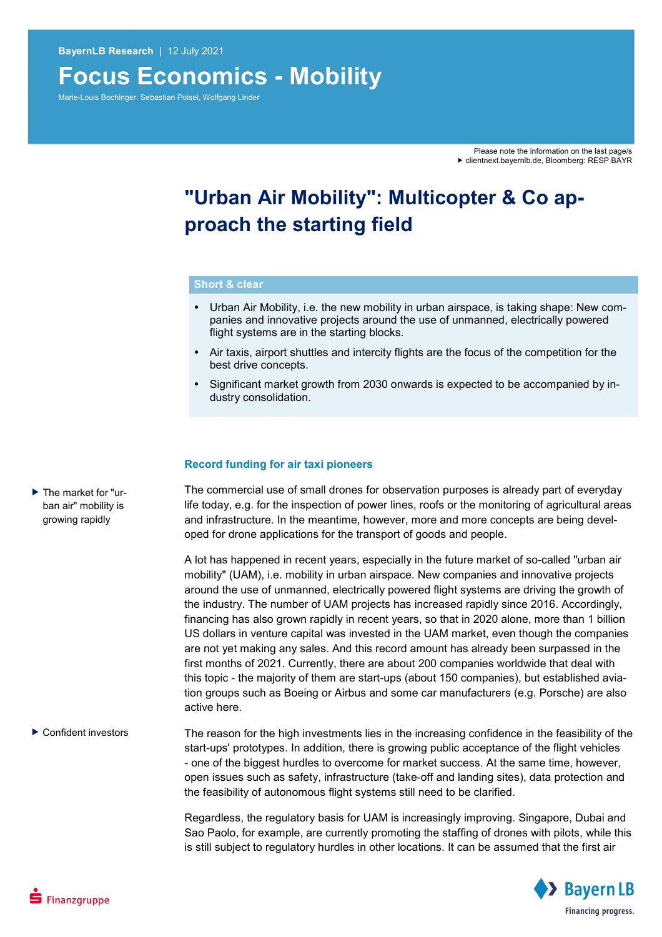# **Focus Economics - Mobility**

Marie-Louis Bochinger, Sebastian Poisel, Wolfgang Linder

# **"Urban Air Mobility": Multicopter & Co approach the starting field**

#### **Short & clear**

- Urban Air Mobility, i.e. the new mobility in urban airspace, is taking shape: New companies and innovative projects around the use of unmanned, electrically powered flight systems are in the starting blocks.
- Air taxis, airport shuttles and intercity flights are the focus of the competition for the best drive concepts.
- Significant market growth from 2030 onwards is expected to be accompanied by industry consolidation.

### **Record funding for air taxi pioneers**

The commercial use of small drones for observation purposes is already part of everyday life today, e.g. for the inspection of power lines, roofs or the monitoring of agricultural areas and infrastructure. In the meantime, however, more and more concepts are being developed for drone applications for the transport of goods and people.

A lot has happened in recent years, especially in the future market of so-called "urban air mobility" (UAM), i.e. mobility in urban airspace. New companies and innovative projects around the use of unmanned, electrically powered flight systems are driving the growth of the industry. The number of UAM projects has increased rapidly since 2016. Accordingly, financing has also grown rapidly in recent years, so that in 2020 alone, more than 1 billion US dollars in venture capital was invested in the UAM market, even though the companies are not yet making any sales. And this record amount has already been surpassed in the first months of 2021. Currently, there are about 200 companies worldwide that deal with this topic - the majority of them are start-ups (about 150 companies), but established aviation groups such as Boeing or Airbus and some car manufacturers (e.g. Porsche) are also active here.

The reason for the high investments lies in the increasing confidence in the feasibility of the start-ups' prototypes. In addition, there is growing public acceptance of the flight vehicles - one of the biggest hurdles to overcome for market success. At the same time, however, open issues such as safety, infrastructure (take-off and landing sites), data protection and the feasibility of autonomous flight systems still need to be clarified. ▶ Confident investors

> Regardless, the regulatory basis for UAM is increasingly improving. Singapore, Dubai and Sao Paolo, for example, are currently promoting the staffing of drones with pilots, while this is still subject to regulatory hurdles in other locations. It can be assumed that the first air



▶ The market for "urban air" mobility is growing rapidly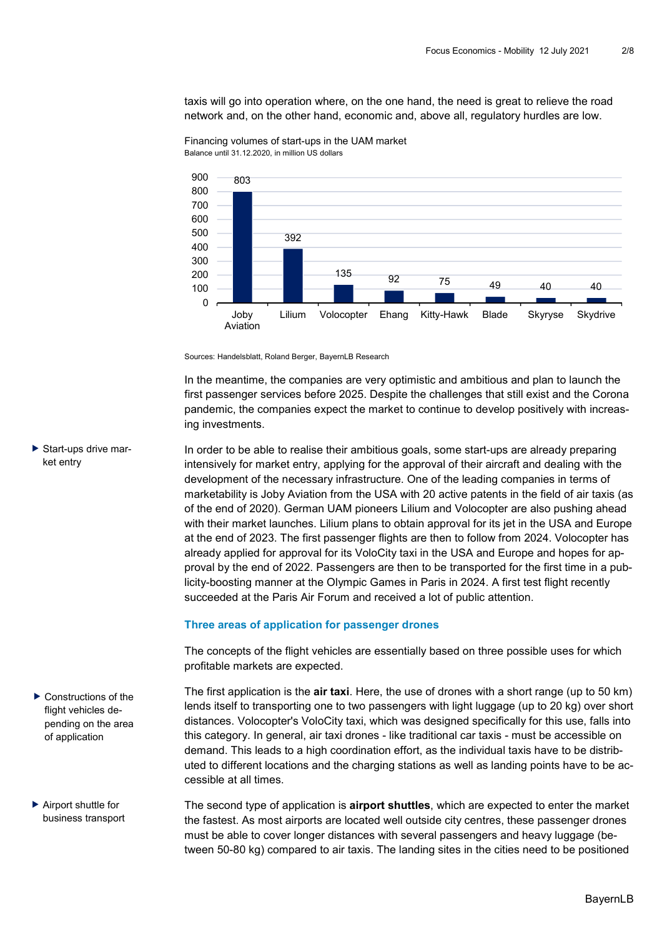taxis will go into operation where, on the one hand, the need is great to relieve the road network and, on the other hand, economic and, above all, regulatory hurdles are low.



Financing volumes of start-ups in the UAM market Balance until 31.12.2020, in million US dollars

Sources: Handelsblatt, Roland Berger, BayernLB Research

In the meantime, the companies are very optimistic and ambitious and plan to launch the first passenger services before 2025. Despite the challenges that still exist and the Corona pandemic, the companies expect the market to continue to develop positively with increasing investments.

In order to be able to realise their ambitious goals, some start-ups are already preparing intensively for market entry, applying for the approval of their aircraft and dealing with the development of the necessary infrastructure. One of the leading companies in terms of marketability is Joby Aviation from the USA with 20 active patents in the field of air taxis (as of the end of 2020). German UAM pioneers Lilium and Volocopter are also pushing ahead with their market launches. Lilium plans to obtain approval for its jet in the USA and Europe at the end of 2023. The first passenger flights are then to follow from 2024. Volocopter has already applied for approval for its VoloCity taxi in the USA and Europe and hopes for approval by the end of 2022. Passengers are then to be transported for the first time in a publicity-boosting manner at the Olympic Games in Paris in 2024. A first test flight recently succeeded at the Paris Air Forum and received a lot of public attention.

### **Three areas of application for passenger drones**

The concepts of the flight vehicles are essentially based on three possible uses for which profitable markets are expected.

The first application is the **air taxi**. Here, the use of drones with a short range (up to 50 km) lends itself to transporting one to two passengers with light luggage (up to 20 kg) over short distances. Volocopter's VoloCity taxi, which was designed specifically for this use, falls into this category. In general, air taxi drones - like traditional car taxis - must be accessible on demand. This leads to a high coordination effort, as the individual taxis have to be distributed to different locations and the charging stations as well as landing points have to be accessible at all times.

The second type of application is **airport shuttles**, which are expected to enter the market the fastest. As most airports are located well outside city centres, these passenger drones must be able to cover longer distances with several passengers and heavy luggage (between 50-80 kg) compared to air taxis. The landing sites in the cities need to be positioned

 Start-ups drive market entry

▶ Constructions of the flight vehicles depending on the area of application

▶ Airport shuttle for business transport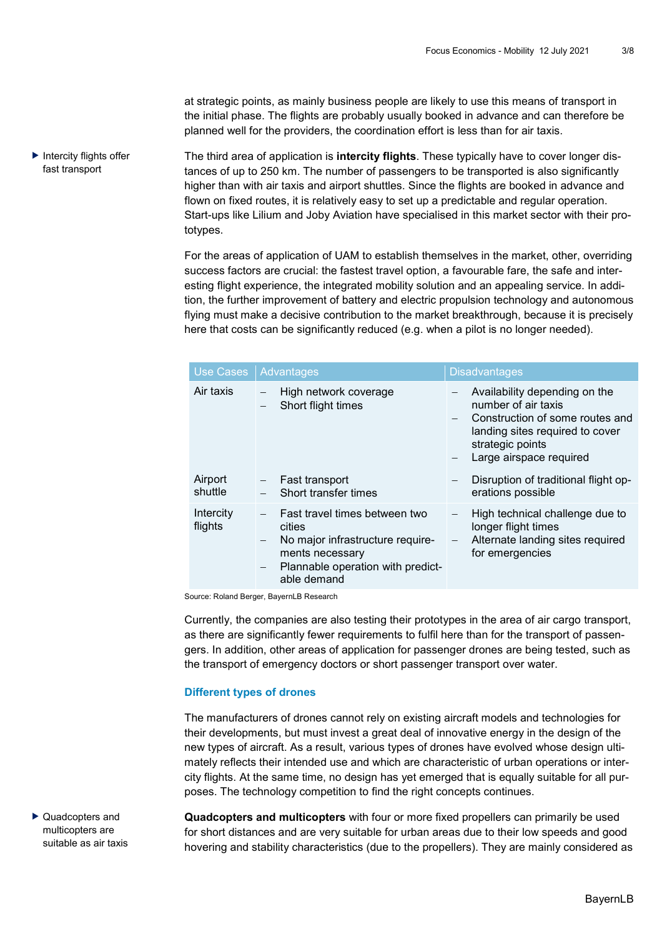at strategic points, as mainly business people are likely to use this means of transport in the initial phase. The flights are probably usually booked in advance and can therefore be planned well for the providers, the coordination effort is less than for air taxis.

The third area of application is **intercity flights**. These typically have to cover longer distances of up to 250 km. The number of passengers to be transported is also significantly higher than with air taxis and airport shuttles. Since the flights are booked in advance and flown on fixed routes, it is relatively easy to set up a predictable and regular operation. Start-ups like Lilium and Joby Aviation have specialised in this market sector with their prototypes.  $\blacktriangleright$  Intercity flights offer fast transport

> For the areas of application of UAM to establish themselves in the market, other, overriding success factors are crucial: the fastest travel option, a favourable fare, the safe and interesting flight experience, the integrated mobility solution and an appealing service. In addition, the further improvement of battery and electric propulsion technology and autonomous flying must make a decisive contribution to the market breakthrough, because it is precisely here that costs can be significantly reduced (e.g. when a pilot is no longer needed).

| Use Cases            | <b>Advantages</b>                                                                                                                                  | <b>Disadvantages</b>                                                                                                                                                      |
|----------------------|----------------------------------------------------------------------------------------------------------------------------------------------------|---------------------------------------------------------------------------------------------------------------------------------------------------------------------------|
| Air taxis            | High network coverage<br>Short flight times                                                                                                        | Availability depending on the<br>number of air taxis<br>Construction of some routes and<br>landing sites required to cover<br>strategic points<br>Large airspace required |
| Airport<br>shuttle   | Fast transport<br>Short transfer times                                                                                                             | Disruption of traditional flight op-<br>erations possible                                                                                                                 |
| Intercity<br>flights | Fast travel times between two<br>cities<br>No major infrastructure require-<br>ments necessary<br>Plannable operation with predict-<br>able demand | High technical challenge due to<br>longer flight times<br>Alternate landing sites required<br>for emergencies                                                             |
|                      | ausse: Deland Desses, Daugral D. Dessessh                                                                                                          |                                                                                                                                                                           |

Source: Roland Berger, BayernLB Research

Currently, the companies are also testing their prototypes in the area of air cargo transport, as there are significantly fewer requirements to fulfil here than for the transport of passengers. In addition, other areas of application for passenger drones are being tested, such as the transport of emergency doctors or short passenger transport over water.

#### **Different types of drones**

The manufacturers of drones cannot rely on existing aircraft models and technologies for their developments, but must invest a great deal of innovative energy in the design of the new types of aircraft. As a result, various types of drones have evolved whose design ultimately reflects their intended use and which are characteristic of urban operations or intercity flights. At the same time, no design has yet emerged that is equally suitable for all purposes. The technology competition to find the right concepts continues.

▶ Quadcopters and multicopters are suitable as air taxis **Quadcopters and multicopters** with four or more fixed propellers can primarily be used for short distances and are very suitable for urban areas due to their low speeds and good hovering and stability characteristics (due to the propellers). They are mainly considered as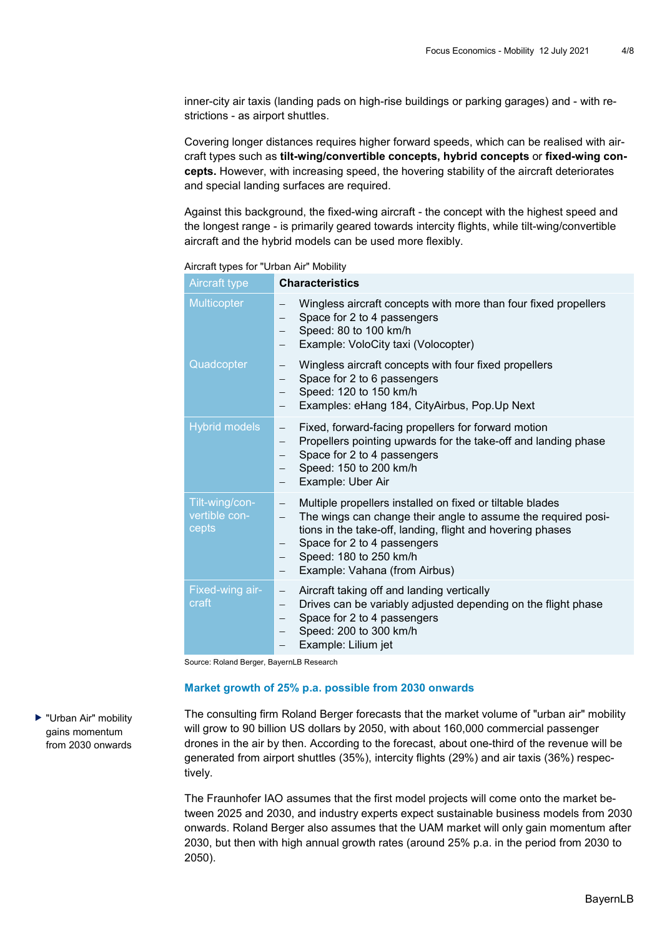inner-city air taxis (landing pads on high-rise buildings or parking garages) and - with restrictions - as airport shuttles.

Covering longer distances requires higher forward speeds, which can be realised with aircraft types such as **tilt-wing/convertible concepts, hybrid concepts** or **fixed-wing concepts.** However, with increasing speed, the hovering stability of the aircraft deteriorates and special landing surfaces are required.

Against this background, the fixed-wing aircraft - the concept with the highest speed and the longest range - is primarily geared towards intercity flights, while tilt-wing/convertible aircraft and the hybrid models can be used more flexibly.

Aircraft types for "Urban Air" Mobility

| <b>Aircraft type</b>                     | <b>Characteristics</b>                                                                                                                                                                                                                                                                                                                                                                        |
|------------------------------------------|-----------------------------------------------------------------------------------------------------------------------------------------------------------------------------------------------------------------------------------------------------------------------------------------------------------------------------------------------------------------------------------------------|
| <b>Multicopter</b>                       | Wingless aircraft concepts with more than four fixed propellers<br>Space for 2 to 4 passengers<br>Speed: 80 to 100 km/h<br>Example: VoloCity taxi (Volocopter)                                                                                                                                                                                                                                |
| Quadcopter                               | Wingless aircraft concepts with four fixed propellers<br>$\qquad \qquad -$<br>Space for 2 to 6 passengers<br>Speed: 120 to 150 km/h<br>Examples: eHang 184, CityAirbus, Pop.Up Next                                                                                                                                                                                                           |
| <b>Hybrid models</b>                     | Fixed, forward-facing propellers for forward motion<br>$\qquad \qquad -$<br>Propellers pointing upwards for the take-off and landing phase<br>$\qquad \qquad -$<br>Space for 2 to 4 passengers<br>Speed: 150 to 200 km/h<br>$\qquad \qquad -$<br>Example: Uber Air<br>$\qquad \qquad -$                                                                                                       |
| Tilt-wing/con-<br>vertible con-<br>cepts | Multiple propellers installed on fixed or tiltable blades<br>$\overline{\phantom{m}}$<br>The wings can change their angle to assume the required posi-<br>$\qquad \qquad -$<br>tions in the take-off, landing, flight and hovering phases<br>Space for 2 to 4 passengers<br>$\overbrace{\phantom{123221111}}$<br>Speed: 180 to 250 km/h<br>Example: Vahana (from Airbus)<br>$\qquad \qquad -$ |
| Fixed-wing air-<br>craft                 | Aircraft taking off and landing vertically<br>$\qquad \qquad -$<br>Drives can be variably adjusted depending on the flight phase<br>$\qquad \qquad -$<br>Space for 2 to 4 passengers<br>$\qquad \qquad -$<br>Speed: 200 to 300 km/h<br>Example: Lilium jet<br>$\qquad \qquad -$                                                                                                               |

Source: Roland Berger, BayernLB Research

#### **Market growth of 25% p.a. possible from 2030 onwards**

The consulting firm Roland Berger forecasts that the market volume of "urban air" mobility will grow to 90 billion US dollars by 2050, with about 160,000 commercial passenger drones in the air by then. According to the forecast, about one-third of the revenue will be generated from airport shuttles (35%), intercity flights (29%) and air taxis (36%) respectively.

The Fraunhofer IAO assumes that the first model projects will come onto the market between 2025 and 2030, and industry experts expect sustainable business models from 2030 onwards. Roland Berger also assumes that the UAM market will only gain momentum after 2030, but then with high annual growth rates (around 25% p.a. in the period from 2030 to 2050).

▶ "Urban Air" mobility gains momentum from 2030 onwards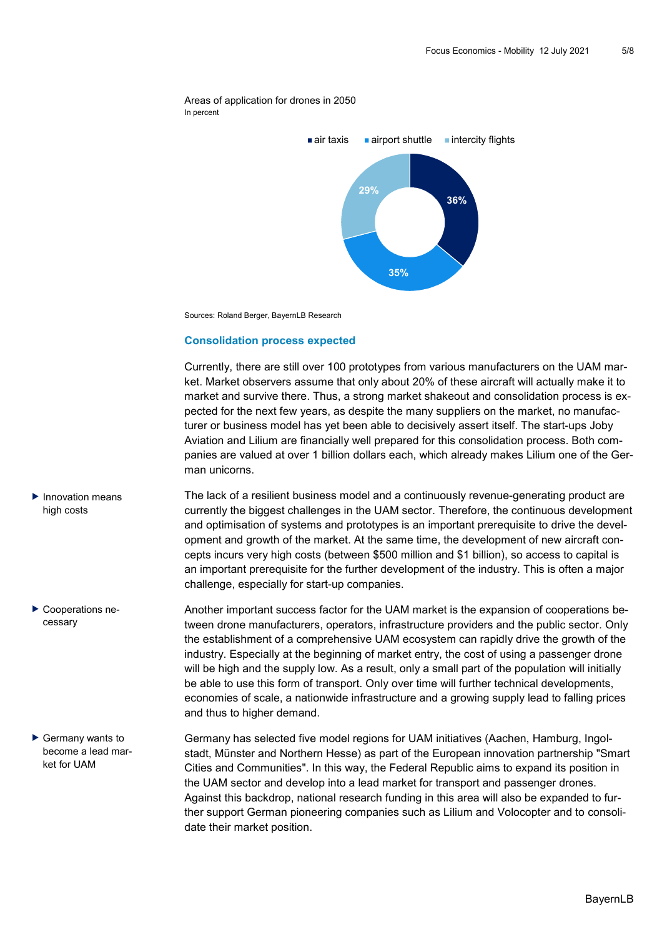



Sources: Roland Berger, BayernLB Research

### **Consolidation process expected**

Currently, there are still over 100 prototypes from various manufacturers on the UAM market. Market observers assume that only about 20% of these aircraft will actually make it to market and survive there. Thus, a strong market shakeout and consolidation process is expected for the next few years, as despite the many suppliers on the market, no manufacturer or business model has yet been able to decisively assert itself. The start-ups Joby Aviation and Lilium are financially well prepared for this consolidation process. Both companies are valued at over 1 billion dollars each, which already makes Lilium one of the German unicorns.

- The lack of a resilient business model and a continuously revenue-generating product are currently the biggest challenges in the UAM sector. Therefore, the continuous development and optimisation of systems and prototypes is an important prerequisite to drive the development and growth of the market. At the same time, the development of new aircraft concepts incurs very high costs (between \$500 million and \$1 billion), so access to capital is an important prerequisite for the further development of the industry. This is often a major challenge, especially for start-up companies.  $\blacktriangleright$  Innovation means high costs
	- Another important success factor for the UAM market is the expansion of cooperations between drone manufacturers, operators, infrastructure providers and the public sector. Only the establishment of a comprehensive UAM ecosystem can rapidly drive the growth of the industry. Especially at the beginning of market entry, the cost of using a passenger drone will be high and the supply low. As a result, only a small part of the population will initially be able to use this form of transport. Only over time will further technical developments, economies of scale, a nationwide infrastructure and a growing supply lead to falling prices and thus to higher demand.
		- Germany has selected five model regions for UAM initiatives (Aachen, Hamburg, Ingolstadt, Münster and Northern Hesse) as part of the European innovation partnership "Smart Cities and Communities". In this way, the Federal Republic aims to expand its position in the UAM sector and develop into a lead market for transport and passenger drones. Against this backdrop, national research funding in this area will also be expanded to further support German pioneering companies such as Lilium and Volocopter and to consolidate their market position.
- 
- ▶ Cooperations necessary

 $\blacktriangleright$  Germany wants to become a lead market for UAM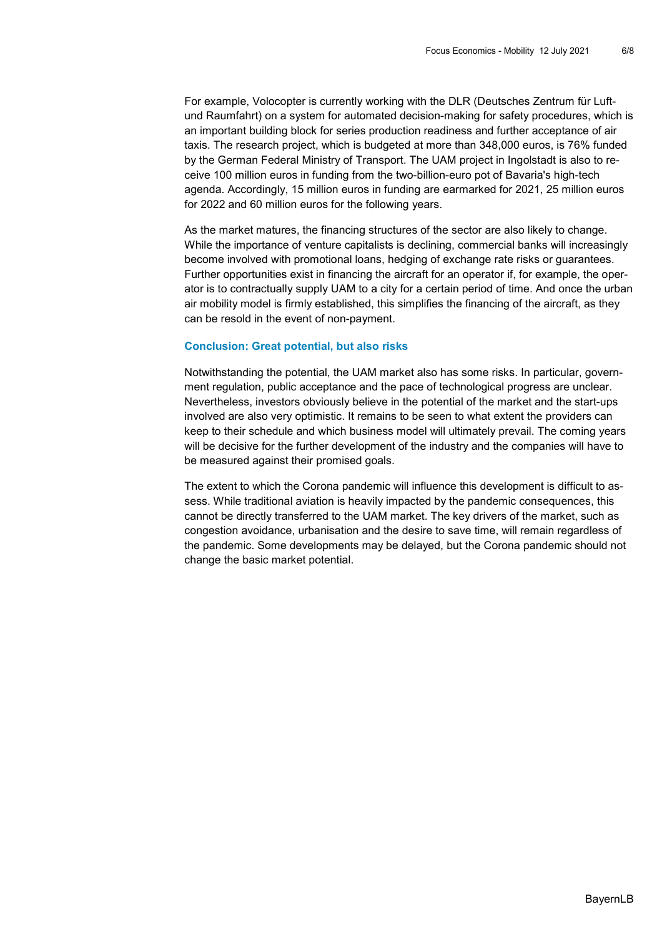For example, Volocopter is currently working with the DLR (Deutsches Zentrum für Luftund Raumfahrt) on a system for automated decision-making for safety procedures, which is an important building block for series production readiness and further acceptance of air taxis. The research project, which is budgeted at more than 348,000 euros, is 76% funded by the German Federal Ministry of Transport. The UAM project in Ingolstadt is also to receive 100 million euros in funding from the two-billion-euro pot of Bavaria's high-tech agenda. Accordingly, 15 million euros in funding are earmarked for 2021, 25 million euros for 2022 and 60 million euros for the following years.

As the market matures, the financing structures of the sector are also likely to change. While the importance of venture capitalists is declining, commercial banks will increasingly become involved with promotional loans, hedging of exchange rate risks or guarantees. Further opportunities exist in financing the aircraft for an operator if, for example, the operator is to contractually supply UAM to a city for a certain period of time. And once the urban air mobility model is firmly established, this simplifies the financing of the aircraft, as they can be resold in the event of non-payment.

### **Conclusion: Great potential, but also risks**

Notwithstanding the potential, the UAM market also has some risks. In particular, government regulation, public acceptance and the pace of technological progress are unclear. Nevertheless, investors obviously believe in the potential of the market and the start-ups involved are also very optimistic. It remains to be seen to what extent the providers can keep to their schedule and which business model will ultimately prevail. The coming years will be decisive for the further development of the industry and the companies will have to be measured against their promised goals.

The extent to which the Corona pandemic will influence this development is difficult to assess. While traditional aviation is heavily impacted by the pandemic consequences, this cannot be directly transferred to the UAM market. The key drivers of the market, such as congestion avoidance, urbanisation and the desire to save time, will remain regardless of the pandemic. Some developments may be delayed, but the Corona pandemic should not change the basic market potential.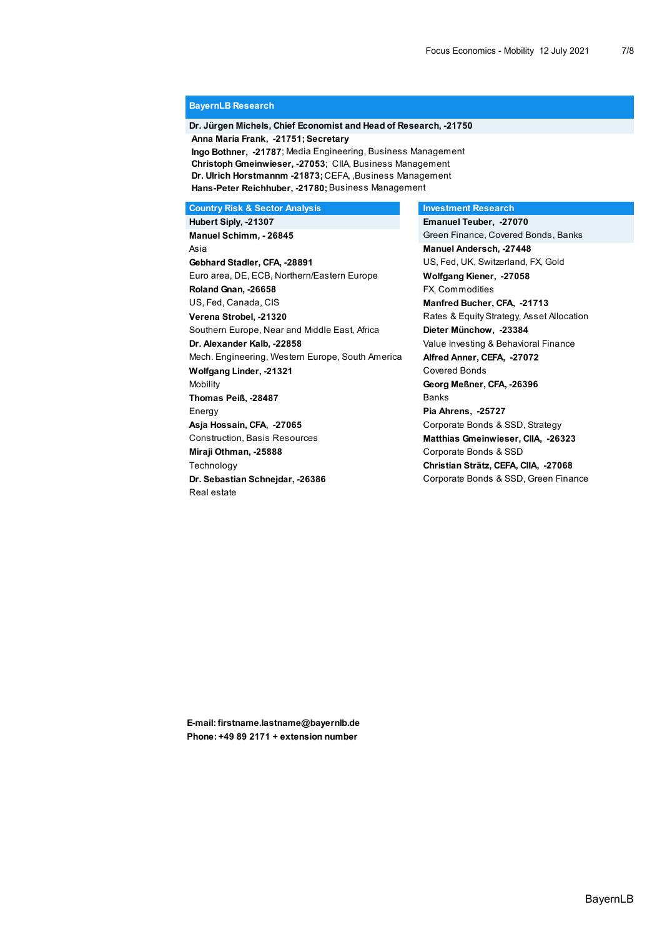#### **BayernLB Research**

## **Dr. Jürgen Michels, Chief Economist and Head of Research, -21750 Anna Maria Frank, -21751; Secretary**

 **Ingo Bothner, -21787**; Media Engineering, Business Management  **Christoph Gmeinwieser, -27053**; CIIA, Business Management **Dr. Ulrich Horstmannm -21873;** CEFA, ,Business Management **Hans-Peter Reichhuber, -21780;** Business Management

**Country Risk & Sector Analysis Country Risk & Sector Analysis Country Risk & Sector Analysis** 

 **Hubert Siply, -21307 Emanuel Teuber, -27070 Manuel Schimm, - 26845** Green Finance, Covered Bonds, Banks Asia **Manuel Andersch, -27448 Gebhard Stadler, CFA, -28891** US, Fed, UK, Switzerland, FX, Gold Euro area, DE, ECB, Northern/Eastern Europe **Wolfgang Kiener, -27058 Roland Gnan, -26658** FX, Commodities US, Fed, Canada, CIS **Manfred Bucher, CFA, -21713 Verena Strobel, -21320 Rates & Equity Strategy, Asset Allocation**  Southern Europe, Near and Middle East, Africa **Dieter Münchow, -23384 Dr. Alexander Kalb, -22858** Value Investing & Behavioral Finance Mech. Engineering, Western Europe, South America **Alfred Anner, CEFA, -27072** Wolfgang Linder, -21321 Covered Bonds Mobility **Georg Meßner, CFA, -26396** Thomas Peiß, -28487 Banks Energy **Pia Ahrens, -25727 Asja Hossain, CFA, -27065** Corporate Bonds & SSD, Strategy Construction, Basis Resources **Matthias Gmeinwieser, CIIA, -26323 Miraji Othman, -25888** Corporate Bonds & SSD Technology **Christian Strätz, CEFA, CIIA, -27068 Dr. Sebastian Schnejdar, -26386** Corporate Bonds & SSD, Green Finance Real estate

**E-mail: firstname.lastname@bayernlb.de Phone: +49 89 2171 + extension number**